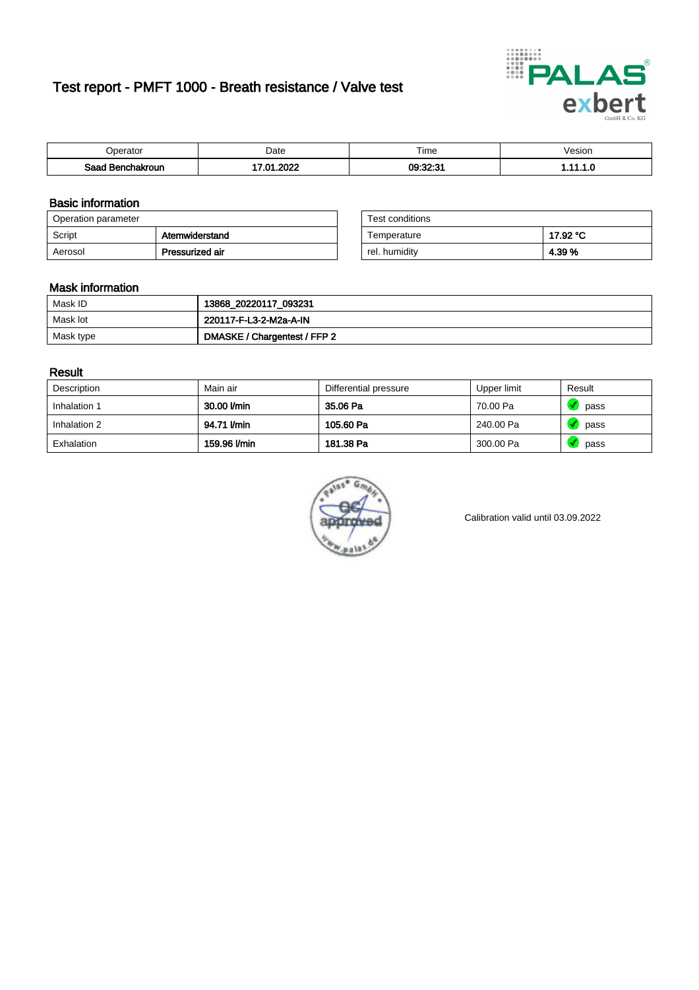# Test report - PMFT 1000 - Breath resistance / Valve test



| )perator               | Date             | $- \cdot$<br>Гіmе | esion |
|------------------------|------------------|-------------------|-------|
| המס<br>hakroun<br>32 H | oooo<br>ר -<br>w | 09:32:31          | .     |

### Basic information

| Operation parameter |                 | Test conditions |          |
|---------------------|-----------------|-----------------|----------|
| Script              | Atemwiderstand  | Temperature     | 17.92 °C |
| Aerosol             | Pressurized air | rel. humidity   | 4.39%    |

| Test conditions |          |
|-----------------|----------|
| Temperature     | 17.92 °C |
| rel. humidity   | 4.39%    |

#### Mask information

| Mask ID   | 13868_20220117_093231        |
|-----------|------------------------------|
| Mask lot  | 220117-F-L3-2-M2a-A-IN       |
| Mask type | DMASKE / Chargentest / FFP 2 |

### Result

| Description  | Main air     | Differential pressure | Upper limit | Result |
|--------------|--------------|-----------------------|-------------|--------|
| Inhalation 1 | 30.00 l/min  | 35.06 Pa              | 70.00 Pa    | pass   |
| Inhalation 2 | 94.71 I/min  | 105.60 Pa             | 240.00 Pa   | pass   |
| Exhalation   | 159.96 l/min | 181.38 Pa             | 300.00 Pa   | pass   |



Calibration valid until 03.09.2022